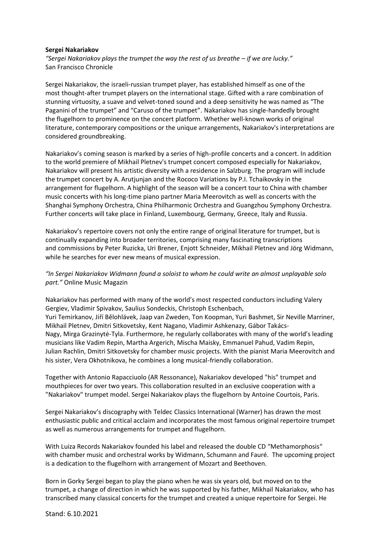## **Sergei Nakariakov**

"Sergei Nakariakov plays the trumpet the way the rest of us breathe – if we are lucky." San Francisco Chronicle

Sergei Nakariakov, the israeli-russian trumpet player, has established himself as one of the most thought-after trumpet players on the international stage. Gifted with a rare combination of stunning virtuosity, a suave and velvet-toned sound and a deep sensitivity he was named as "The Paganini of the trumpet" and "Caruso of the trumpet". Nakariakov has single-handedly brought the flugelhorn to prominence on the concert platform. Whether well-known works of original literature, contemporary compositions or the unique arrangements, Nakariakov's interpretations are considered groundbreaking.

Nakariakov's coming season is marked by a series of high-profile concerts and a concert. In addition to the world premiere of Mikhail Pletnev's trumpet concert composed especially for Nakariakov, Nakariakov will present his artistic diversity with a residence in Salzburg. The program will include the trumpet concert by A. Arutjunjan and the Rococo Variations by P.I. Tchaikovsky in the arrangement for flugelhorn. A highlight of the season will be a concert tour to China with chamber music concerts with his long-time piano partner Maria Meerovitch as well as concerts with the Shanghai Symphony Orchestra, China Philharmonic Orchestra and Guangzhou Symphony Orchestra. Further concerts will take place in Finland, Luxembourg, Germany, Greece, Italy and Russia.

Nakariakov's repertoire covers not only the entire range of original literature for trumpet, but is continually expanding into broader territories, comprising many fascinating transcriptions and commissions by Peter Ruzicka, Uri Brener, Enjott Schneider, Mikhail Pletnev and Jörg Widmann, while he searches for ever new means of musical expression.

## *"In Sergei Nakariakov Widmann found a soloist to whom he could write an almost unplayable solo part."* Online Music Magazin

Nakariakov has performed with many of the world's most respected conductors including Valery Gergiev, Vladimir Spivakov, Saulius Sondeckis, Christoph Eschenbach, Yuri Temirkanov, Jiří Bělohlávek, Jaap van Zweden, Ton Koopman, Yuri Bashmet, Sir Neville Marriner, Mikhail Pletnev, Dmitri Sitkovetsky, Kent Nagano, Vladimir Ashkenazy, Gábor Takács-Nagy, Mirga Grazinytė-Tyla. Furthermore, he regularly collaborates with many of the world's leading musicians like Vadim Repin, Martha Argerich, Mischa Maisky, Emmanuel Pahud, Vadim Repin, Julian Rachlin, Dmitri Sitkovetsky for chamber music projects. With the pianist Maria Meerovitch and his sister, Vera Okhotnikova, he combines a long musical-friendly collaboration.

Together with Antonio Rapacciuolo (AR Ressonance), Nakariakov developed "his" trumpet and mouthpieces for over two years. This collaboration resulted in an exclusive cooperation with a "Nakariakov" trumpet model. Sergei Nakariakov plays the flugelhorn by Antoine Courtois, Paris.

Sergei Nakariakov's discography with Teldec Classics International (Warner) has drawn the most enthusiastic public and critical acclaim and incorporates the most famous original repertoire trumpet as well as numerous arrangements for trumpet and flugelhorn.

With Luiza Records Nakariakov founded his label and released the double CD "Methamorphosis" with chamber music and orchestral works by Widmann, Schumann and Fauré. The upcoming project is a dedication to the flugelhorn with arrangement of Mozart and Beethoven.

Born in Gorky Sergei began to play the piano when he was six years old, but moved on to the trumpet, a change of direction in which he was supported by his father, Mikhail Nakariakov, who has transcribed many classical concerts for the trumpet and created a unique repertoire for Sergei. He